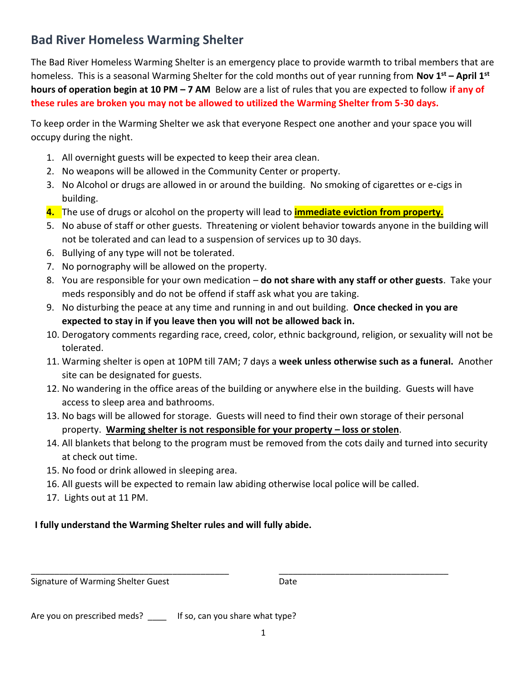## **Bad River Homeless Warming Shelter**

The Bad River Homeless Warming Shelter is an emergency place to provide warmth to tribal members that are homeless. This is a seasonal Warming Shelter for the cold months out of year running from **Nov 1st – April 1st hours of operation begin at 10 PM – 7 AM** Below are a list of rules that you are expected to follow **if any of these rules are broken you may not be allowed to utilized the Warming Shelter from 5-30 days.**

To keep order in the Warming Shelter we ask that everyone Respect one another and your space you will occupy during the night.

- 1. All overnight guests will be expected to keep their area clean.
- 2. No weapons will be allowed in the Community Center or property.
- 3. No Alcohol or drugs are allowed in or around the building. No smoking of cigarettes or e-cigs in building.
- **4.** The use of drugs or alcohol on the property will lead to **immediate eviction from property.**
- 5. No abuse of staff or other guests. Threatening or violent behavior towards anyone in the building will not be tolerated and can lead to a suspension of services up to 30 days.
- 6. Bullying of any type will not be tolerated.
- 7. No pornography will be allowed on the property.
- 8. You are responsible for your own medication **do not share with any staff or other guests**. Take your meds responsibly and do not be offend if staff ask what you are taking.
- 9. No disturbing the peace at any time and running in and out building. **Once checked in you are expected to stay in if you leave then you will not be allowed back in.**
- 10. Derogatory comments regarding race, creed, color, ethnic background, religion, or sexuality will not be tolerated.
- 11. Warming shelter is open at 10PM till 7AM; 7 days a **week unless otherwise such as a funeral.** Another site can be designated for guests.
- 12. No wandering in the office areas of the building or anywhere else in the building. Guests will have access to sleep area and bathrooms.
- 13. No bags will be allowed for storage. Guests will need to find their own storage of their personal property. **Warming shelter is not responsible for your property – loss or stolen**.
- 14. All blankets that belong to the program must be removed from the cots daily and turned into security at check out time.
- 15. No food or drink allowed in sleeping area.
- 16. All guests will be expected to remain law abiding otherwise local police will be called.

\_\_\_\_\_\_\_\_\_\_\_\_\_\_\_\_\_\_\_\_\_\_\_\_\_\_\_\_\_\_\_\_\_\_\_\_\_\_\_\_\_\_ \_\_\_\_\_\_\_\_\_\_\_\_\_\_\_\_\_\_\_\_\_\_\_\_\_\_\_\_\_\_\_\_\_\_\_\_

17. Lights out at 11 PM.

## **I fully understand the Warming Shelter rules and will fully abide.**

## Signature of Warming Shelter Guest **Date** Date

Are you on prescribed meds? \_\_\_\_\_ If so, can you share what type?